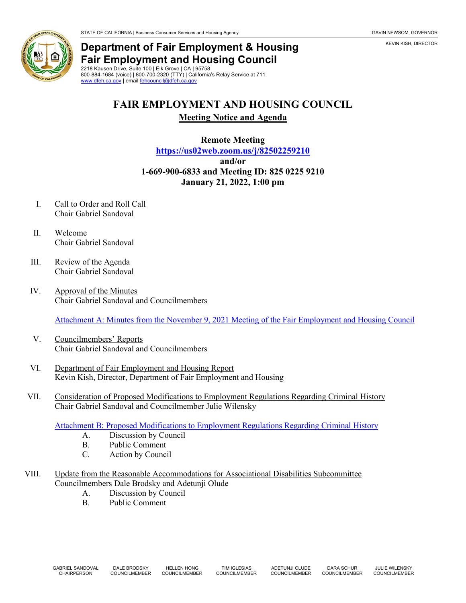## **Department of Fair Employment & Housing Fair Employment and Housing Council** 2218 Kausen Drive, Suite 100 | Elk Grove | CA | 95758

800-884-1684 (voice) | 800-700-2320 (TTY) | California's Relay Service at 711 [www.dfeh.ca.gov](https://www.dfeh.ca.gov/) | email [fehcouncil@dfeh.ca.gov](mailto:fehcouncil@dfeh.ca.gov)

## **FAIR EMPLOYMENT AND HOUSING COUNCIL**

**Meeting Notice and Agenda**

**Remote Meeting <https://us02web.zoom.us/j/82502259210> and/or 1-669-900-6833 and Meeting ID: 825 0225 9210 January 21, 2022, 1:00 pm**

- I. Call to Order and Roll Call Chair Gabriel Sandoval
- II. Welcome Chair Gabriel Sandoval
- III. Review of the Agenda Chair Gabriel Sandoval
- IV. Approval of the Minutes Chair Gabriel Sandoval and Councilmembers

[Attachment A: Minutes from the November 9, 2021 Meeting of the Fair Employment and Housing Council](https://www.dfeh.ca.gov/wp-content/uploads/sites/32/2022/01/Attachment-A-FEH-Council-Minutes-November-9-2021.pdf)

- V. Councilmembers' Reports Chair Gabriel Sandoval and Councilmembers
- VI. Department of Fair Employment and Housing Report Kevin Kish, Director, Department of Fair Employment and Housing
- VII. Consideration of Proposed Modifications to Employment Regulations Regarding Criminal History Chair Gabriel Sandoval and Councilmember Julie Wilensky

[Attachment B: Proposed Modifications to Employment Regulations Regarding Criminal History](https://www.dfeh.ca.gov/wp-content/uploads/sites/32/2022/01/Attachment-B-Proposed-Modifications-to-Employment-Regulations-Regarding-Criminal-History.pdf)

- A. Discussion by Council
- B. Public Comment
- C. Action by Council
- VIII. Update from the Reasonable Accommodations for Associational Disabilities Subcommittee Councilmembers Dale Brodsky and Adetunji Olude
	- A. Discussion by Council<br>B. Public Comment
	- Public Comment